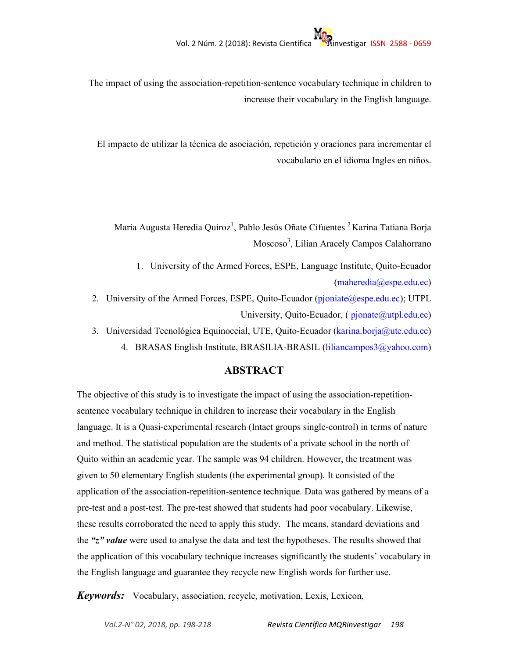The impact of using the association-repetition-sentence vocabulary technique in children to increase their vocabulary in the English language.

El impacto de utilizar la técnica de asociación, repetición y oraciones para incrementar el vocabulario en el idioma Ingles en niños.

María Augusta Heredia Quiroz<sup>1</sup>, Pablo Jesús Oñate Cifuentes <sup>2</sup> Karina Tatiana Borja Moscoso<sup>3</sup>, Lilian Aracely Campos Calahorrano

- 1. University of the Armed Forces, ESPE, Language Institute, Quito-Ecuador (maheredia@espe.edu.ec)
- 2. University of the Armed Forces, ESPE, Quito-Ecuador (pjoniate@espe.edu.ec); UTPL University, Quito-Ecuador,  $(pipinate@utpl.edu.ec)$
- 3. Universidad Tecnológica Equinoccial, UTE, Quito-Ecuador (karina.borja@ute.edu.ec)
	- 4. BRASAS English Institute, BRASILIA-BRASIL (liliancampos3@yahoo.com)

# **ABSTRACT**

The objective of this study is to investigate the impact of using the association-repetitionsentence vocabulary technique in children to increase their vocabulary in the English language. It is a Quasi-experimental research (Intact groups single-control) in terms of nature and method. The statistical population are the students of a private school in the north of Quito within an academic year. The sample was 94 children. However, the treatment was given to 50 elementary English students (the experimental group). It consisted of the application of the association-repetition-sentence technique. Data was gathered by means of a pre-test and a post-test. The pre-test showed that students had poor vocabulary. Likewise, these results corroborated the need to apply this study. The means, standard deviations and the *"z" value* were used to analyse the data and test the hypotheses. The results showed that the application of this vocabulary technique increases significantly the students' vocabulary in the English language and guarantee they recycle new English words for further use.

*Keywords:* Vocabulary, association, recycle, motivation, Lexis, Lexicon,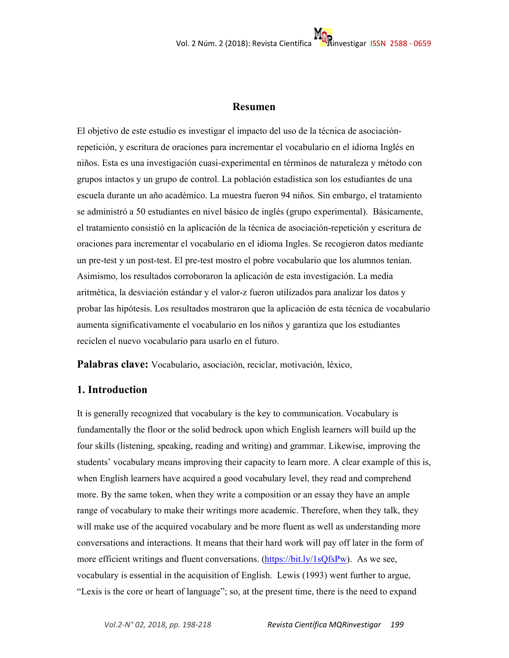# **Resumen**

El objetivo de este estudio es investigar el impacto del uso de la técnica de asociaciónrepetición, y escritura de oraciones para incrementar el vocabulario en el idioma Inglés en niños. Esta es una investigación cuasi-experimental en términos de naturaleza y método con grupos intactos y un grupo de control. La población estadística son los estudiantes de una escuela durante un año académico. La muestra fueron 94 niños. Sin embargo, el tratamiento se administró a 50 estudiantes en nivel básico de inglés (grupo experimental). Básicamente, el tratamiento consistió en la aplicación de la técnica de asociación-repetición y escritura de oraciones para incrementar el vocabulario en el idioma Ingles. Se recogieron datos mediante un pre-test y un post-test. El pre-test mostro el pobre vocabulario que los alumnos tenían. Asimismo, los resultados corroboraron la aplicación de esta investigación. La media aritmética, la desviación estándar y el valor-z fueron utilizados para analizar los datos y probar las hipótesis. Los resultados mostraron que la aplicación de esta técnica de vocabulario aumenta significativamente el vocabulario en los niños y garantiza que los estudiantes reciclen el nuevo vocabulario para usarlo en el futuro.

**Palabras clave:** Vocabulario, asociación, reciclar, motivación, léxico,

# **1. Introduction**

It is generally recognized that vocabulary is the key to communication. Vocabulary is fundamentally the floor or the solid bedrock upon which English learners will build up the four skills (listening, speaking, reading and writing) and grammar. Likewise, improving the students' vocabulary means improving their capacity to learn more. A clear example of this is, when English learners have acquired a good vocabulary level, they read and comprehend more. By the same token, when they write a composition or an essay they have an ample range of vocabulary to make their writings more academic. Therefore, when they talk, they will make use of the acquired vocabulary and be more fluent as well as understanding more conversations and interactions. It means that their hard work will pay off later in the form of more efficient writings and fluent conversations. (https://bit.ly/1sQfsPw). As we see, vocabulary is essential in the acquisition of English. Lewis (1993) went further to argue, "Lexis is the core or heart of language"; so, at the present time, there is the need to expand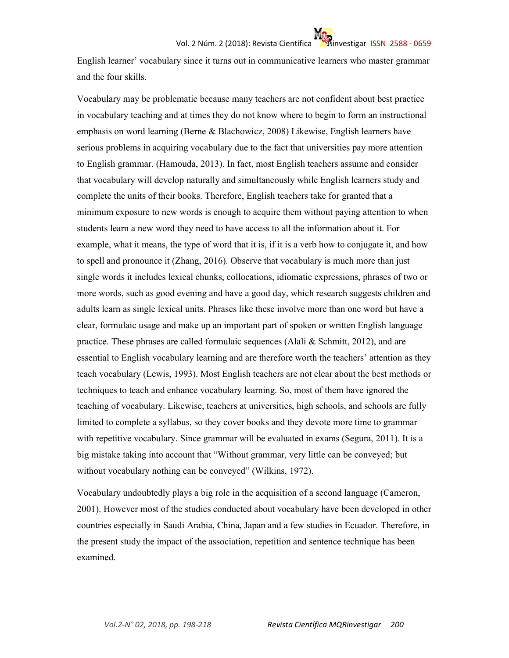English learner' vocabulary since it turns out in communicative learners who master grammar and the four skills.

Vocabulary may be problematic because many teachers are not confident about best practice in vocabulary teaching and at times they do not know where to begin to form an instructional emphasis on word learning (Berne & Blachowicz, 2008) Likewise, English learners have serious problems in acquiring vocabulary due to the fact that universities pay more attention to English grammar. (Hamouda, 2013). In fact, most English teachers assume and consider that vocabulary will develop naturally and simultaneously while English learners study and complete the units of their books. Therefore, English teachers take for granted that a minimum exposure to new words is enough to acquire them without paying attention to when students learn a new word they need to have access to all the information about it. For example, what it means, the type of word that it is, if it is a verb how to conjugate it, and how to spell and pronounce it (Zhang, 2016). Observe that vocabulary is much more than just single words it includes lexical chunks, collocations, idiomatic expressions, phrases of two or more words, such as good evening and have a good day, which research suggests children and adults learn as single lexical units. Phrases like these involve more than one word but have a clear, formulaic usage and make up an important part of spoken or written English language practice. These phrases are called formulaic sequences (Alali  $\&$  Schmitt, 2012), and are essential to English vocabulary learning and are therefore worth the teachers' attention as they teach vocabulary (Lewis, 1993). Most English teachers are not clear about the best methods or techniques to teach and enhance vocabulary learning. So, most of them have ignored the teaching of vocabulary. Likewise, teachers at universities, high schools, and schools are fully limited to complete a syllabus, so they cover books and they devote more time to grammar with repetitive vocabulary. Since grammar will be evaluated in exams (Segura, 2011). It is a big mistake taking into account that "Without grammar, very little can be conveyed; but without vocabulary nothing can be conveyed" (Wilkins, 1972).

Vocabulary undoubtedly plays a big role in the acquisition of a second language (Cameron, 2001). However most of the studies conducted about vocabulary have been developed in other countries especially in Saudi Arabia, China, Japan and a few studies in Ecuador. Therefore, in the present study the impact of the association, repetition and sentence technique has been examined.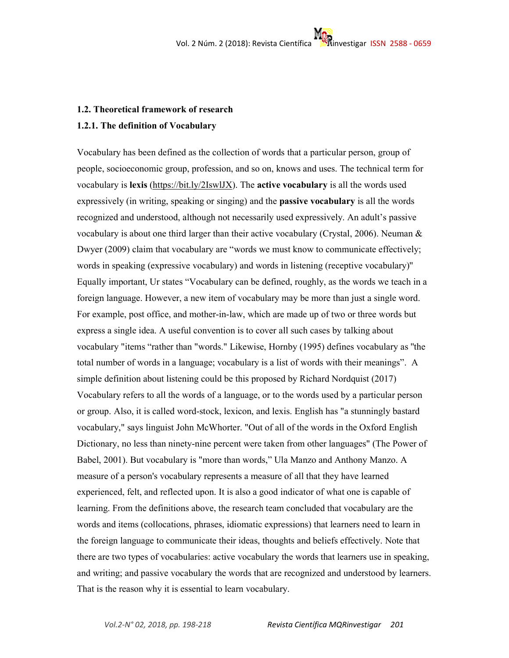# **1.2. Theoretical framework of research**

# **1.2.1. The definition of Vocabulary**

Vocabulary has been defined as the collection of words that a particular person, group of people, socioeconomic group, profession, and so on, knows and uses. The technical term for vocabulary is **lexis** (https://bit.ly/2IswlJX). The **active vocabulary** is all the words used expressively (in writing, speaking or singing) and the **passive vocabulary** is all the words recognized and understood, although not necessarily used expressively. An adult's passive vocabulary is about one third larger than their active vocabulary (Crystal, 2006). Neuman & Dwyer (2009) claim that vocabulary are "words we must know to communicate effectively; words in speaking (expressive vocabulary) and words in listening (receptive vocabulary)'' Equally important, Ur states "Vocabulary can be defined, roughly, as the words we teach in a foreign language. However, a new item of vocabulary may be more than just a single word. For example, post office, and mother-in-law, which are made up of two or three words but express a single idea. A useful convention is to cover all such cases by talking about vocabulary "items "rather than "words." Likewise, Hornby (1995) defines vocabulary as ''the total number of words in a language; vocabulary is a list of words with their meanings". A simple definition about listening could be this proposed by Richard Nordquist (2017) Vocabulary refers to all the words of a language, or to the words used by a particular person or group. Also, it is called word-stock, lexicon, and lexis. English has "a stunningly bastard vocabulary," says linguist John McWhorter. "Out of all of the words in the Oxford English Dictionary, no less than ninety-nine percent were taken from other languages" (The Power of Babel, 2001). But vocabulary is "more than words," Ula Manzo and Anthony Manzo. A measure of a person's vocabulary represents a measure of all that they have learned experienced, felt, and reflected upon. It is also a good indicator of what one is capable of learning. From the definitions above, the research team concluded that vocabulary are the words and items (collocations, phrases, idiomatic expressions) that learners need to learn in the foreign language to communicate their ideas, thoughts and beliefs effectively. Note that there are two types of vocabularies: active vocabulary the words that learners use in speaking, and writing; and passive vocabulary the words that are recognized and understood by learners. That is the reason why it is essential to learn vocabulary.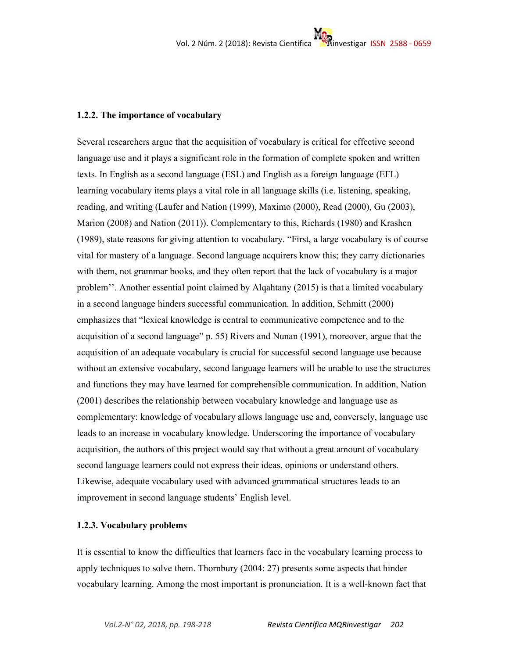#### **1.2.2. The importance of vocabulary**

Several researchers argue that the acquisition of vocabulary is critical for effective second language use and it plays a significant role in the formation of complete spoken and written texts. In English as a second language (ESL) and English as a foreign language (EFL) learning vocabulary items plays a vital role in all language skills (i.e. listening, speaking, reading, and writing (Laufer and Nation (1999), Maximo (2000), Read (2000), Gu (2003), Marion (2008) and Nation (2011)). Complementary to this, Richards (1980) and Krashen (1989), state reasons for giving attention to vocabulary. "First, a large vocabulary is of course vital for mastery of a language. Second language acquirers know this; they carry dictionaries with them, not grammar books, and they often report that the lack of vocabulary is a major problem''. Another essential point claimed by Alqahtany (2015) is that a limited vocabulary in a second language hinders successful communication. In addition, Schmitt (2000) emphasizes that "lexical knowledge is central to communicative competence and to the acquisition of a second language" p. 55) Rivers and Nunan (1991), moreover, argue that the acquisition of an adequate vocabulary is crucial for successful second language use because without an extensive vocabulary, second language learners will be unable to use the structures and functions they may have learned for comprehensible communication. In addition, Nation (2001) describes the relationship between vocabulary knowledge and language use as complementary: knowledge of vocabulary allows language use and, conversely, language use leads to an increase in vocabulary knowledge. Underscoring the importance of vocabulary acquisition, the authors of this project would say that without a great amount of vocabulary second language learners could not express their ideas, opinions or understand others. Likewise, adequate vocabulary used with advanced grammatical structures leads to an improvement in second language students' English level.

# **1.2.3. Vocabulary problems**

It is essential to know the difficulties that learners face in the vocabulary learning process to apply techniques to solve them. Thornbury (2004: 27) presents some aspects that hinder vocabulary learning. Among the most important is pronunciation. It is a well-known fact that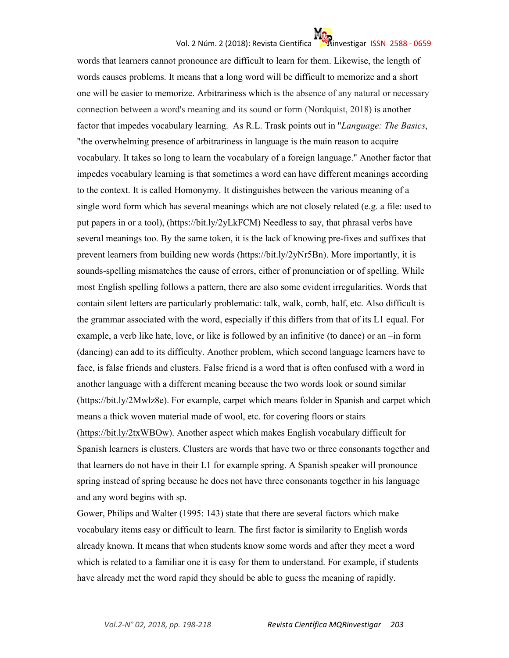# Vol. 2 Núm. 2 (2018): Revista Científica investigar ISSN 2588 - 0659

words that learners cannot pronounce are difficult to learn for them. Likewise, the length of words causes problems. It means that a long word will be difficult to memorize and a short one will be easier to memorize. Arbitrariness which is the absence of any natural or necessary connection between a word's meaning and its sound or form (Nordquist, 2018) is another factor that impedes vocabulary learning. As R.L. Trask points out in "*Language: The Basics*, "the overwhelming presence of arbitrariness in language is the main reason to acquire vocabulary. It takes so long to learn the vocabulary of a foreign language." Another factor that impedes vocabulary learning is that sometimes a word can have different meanings according to the context. It is called Homonymy. It distinguishes between the various meaning of a single word form which has several meanings which are not closely related (e.g. a file: used to put papers in or a tool), (https://bit.ly/2yLkFCM) Needless to say, that phrasal verbs have several meanings too. By the same token, it is the lack of knowing pre-fixes and suffixes that prevent learners from building new words (https://bit.ly/2yNr5Bn). More importantly, it is sounds-spelling mismatches the cause of errors, either of pronunciation or of spelling. While most English spelling follows a pattern, there are also some evident irregularities. Words that contain silent letters are particularly problematic: talk, walk, comb, half, etc. Also difficult is the grammar associated with the word, especially if this differs from that of its L1 equal. For example, a verb like hate, love, or like is followed by an infinitive (to dance) or an –in form (dancing) can add to its difficulty. Another problem, which second language learners have to face, is false friends and clusters. False friend is a word that is often confused with a word in another language with a different meaning because the two words look or sound similar (https://bit.ly/2Mwlz8e). For example, carpet which means folder in Spanish and carpet which means a thick woven material made of wool, etc. for covering floors or stairs (https://bit.ly/2txWBOw). Another aspect which makes English vocabulary difficult for Spanish learners is clusters. Clusters are words that have two or three consonants together and that learners do not have in their L1 for example spring. A Spanish speaker will pronounce spring instead of spring because he does not have three consonants together in his language and any word begins with sp.

Gower, Philips and Walter (1995: 143) state that there are several factors which make vocabulary items easy or difficult to learn. The first factor is similarity to English words already known. It means that when students know some words and after they meet a word which is related to a familiar one it is easy for them to understand. For example, if students have already met the word rapid they should be able to guess the meaning of rapidly.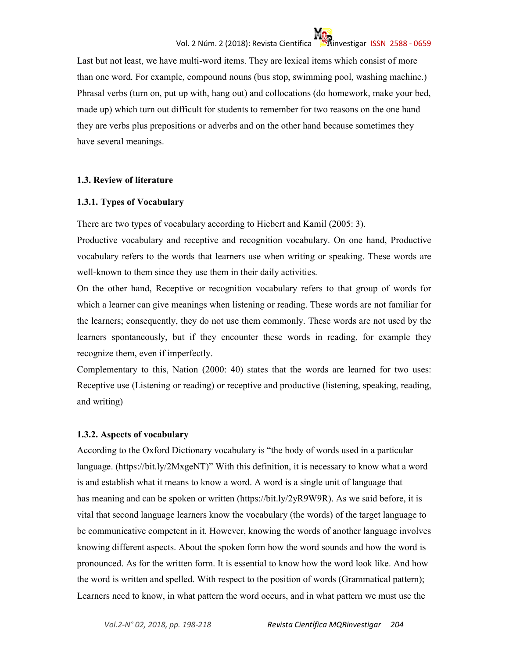Last but not least, we have multi-word items. They are lexical items which consist of more than one word. For example, compound nouns (bus stop, swimming pool, washing machine.) Phrasal verbs (turn on, put up with, hang out) and collocations (do homework, make your bed, made up) which turn out difficult for students to remember for two reasons on the one hand they are verbs plus prepositions or adverbs and on the other hand because sometimes they have several meanings.

# **1.3. Review of literature**

# **1.3.1. Types of Vocabulary**

There are two types of vocabulary according to Hiebert and Kamil (2005: 3).

Productive vocabulary and receptive and recognition vocabulary. On one hand, Productive vocabulary refers to the words that learners use when writing or speaking. These words are well-known to them since they use them in their daily activities.

On the other hand, Receptive or recognition vocabulary refers to that group of words for which a learner can give meanings when listening or reading. These words are not familiar for the learners; consequently, they do not use them commonly. These words are not used by the learners spontaneously, but if they encounter these words in reading, for example they recognize them, even if imperfectly.

Complementary to this, Nation (2000: 40) states that the words are learned for two uses: Receptive use (Listening or reading) or receptive and productive (listening, speaking, reading, and writing)

# **1.3.2. Aspects of vocabulary**

According to the Oxford Dictionary vocabulary is "the body of words used in a particular language. (https://bit.ly/2MxgeNT)" With this definition, it is necessary to know what a word is and establish what it means to know a word. A word is a single unit of language that has meaning and can be spoken or written (https://bit.ly/2yR9W9R). As we said before, it is vital that second language learners know the vocabulary (the words) of the target language to be communicative competent in it. However, knowing the words of another language involves knowing different aspects. About the spoken form how the word sounds and how the word is pronounced. As for the written form. It is essential to know how the word look like. And how the word is written and spelled. With respect to the position of words (Grammatical pattern); Learners need to know, in what pattern the word occurs, and in what pattern we must use the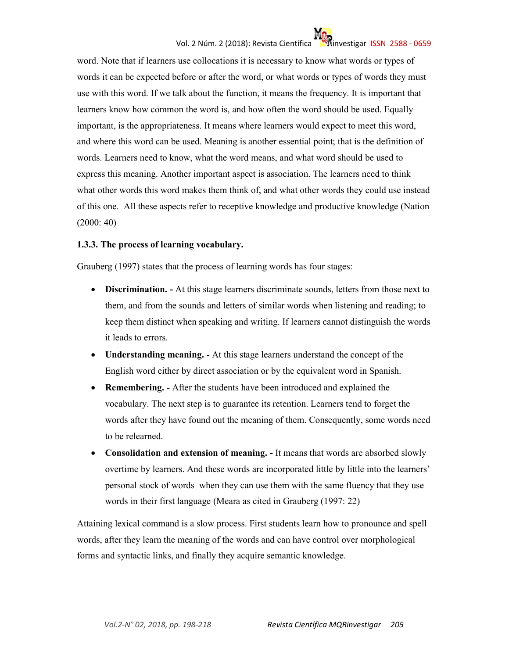# Vol. 2 Núm. 2 (2018): Revista Científica investigar ISSN 2588 - 0659

word. Note that if learners use collocations it is necessary to know what words or types of words it can be expected before or after the word, or what words or types of words they must use with this word. If we talk about the function, it means the frequency. It is important that learners know how common the word is, and how often the word should be used. Equally important, is the appropriateness. It means where learners would expect to meet this word, and where this word can be used. Meaning is another essential point; that is the definition of words. Learners need to know, what the word means, and what word should be used to express this meaning. Another important aspect is association. The learners need to think what other words this word makes them think of, and what other words they could use instead of this one. All these aspects refer to receptive knowledge and productive knowledge (Nation (2000: 40)

# **1.3.3. The process of learning vocabulary.**

Grauberg (1997) states that the process of learning words has four stages:

- **Discrimination.** At this stage learners discriminate sounds, letters from those next to them, and from the sounds and letters of similar words when listening and reading; to keep them distinct when speaking and writing. If learners cannot distinguish the words it leads to errors.
- **Understanding meaning.** At this stage learners understand the concept of the English word either by direct association or by the equivalent word in Spanish.
- **Remembering.** After the students have been introduced and explained the vocabulary. The next step is to guarantee its retention. Learners tend to forget the words after they have found out the meaning of them. Consequently, some words need to be relearned.
- **Consolidation and extension of meaning.** It means that words are absorbed slowly overtime by learners. And these words are incorporated little by little into the learners' personal stock of words when they can use them with the same fluency that they use words in their first language (Meara as cited in Grauberg (1997: 22)

Attaining lexical command is a slow process. First students learn how to pronounce and spell words, after they learn the meaning of the words and can have control over morphological forms and syntactic links, and finally they acquire semantic knowledge.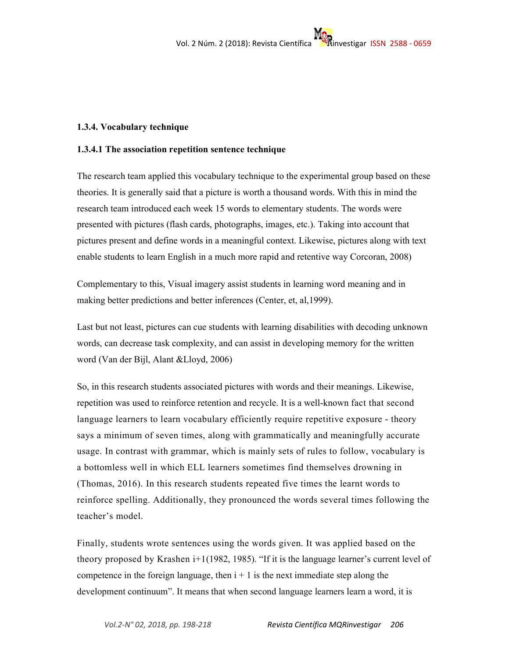# **1.3.4. Vocabulary technique**

# **1.3.4.1 The association repetition sentence technique**

The research team applied this vocabulary technique to the experimental group based on these theories. It is generally said that a picture is worth a thousand words. With this in mind the research team introduced each week 15 words to elementary students. The words were presented with pictures (flash cards, photographs, images, etc.). Taking into account that pictures present and define words in a meaningful context. Likewise, pictures along with text enable students to learn English in a much more rapid and retentive way Corcoran, 2008)

Complementary to this, Visual imagery assist students in learning word meaning and in making better predictions and better inferences (Center, et, al,1999).

Last but not least, pictures can cue students with learning disabilities with decoding unknown words, can decrease task complexity, and can assist in developing memory for the written word (Van der Bijl, Alant &Lloyd, 2006)

So, in this research students associated pictures with words and their meanings. Likewise, repetition was used to reinforce retention and recycle. It is a well-known fact that second language learners to learn vocabulary efficiently require repetitive exposure - theory says a minimum of seven times, along with grammatically and meaningfully accurate usage. In contrast with grammar, which is mainly sets of rules to follow, vocabulary is a bottomless well in which ELL learners sometimes find themselves drowning in (Thomas, 2016). In this research students repeated five times the learnt words to reinforce spelling. Additionally, they pronounced the words several times following the teacher's model.

Finally, students wrote sentences using the words given. It was applied based on the theory proposed by Krashen i+1(1982, 1985). "If it is the language learner's current level of competence in the foreign language, then  $i + 1$  is the next immediate step along the development continuum". It means that when second language learners learn a word, it is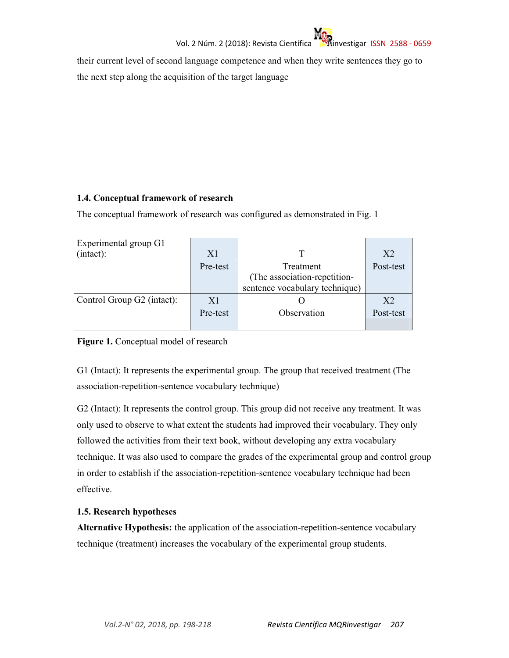their current level of second language competence and when they write sentences they go to the next step along the acquisition of the target language

# **1.4. Conceptual framework of research**

The conceptual framework of research was configured as demonstrated in Fig. 1

| Experimental group G1      |          |                                |                |
|----------------------------|----------|--------------------------------|----------------|
| (intact):                  | X1       |                                | X <sub>2</sub> |
|                            | Pre-test | Treatment                      | Post-test      |
|                            |          | (The association-repetition-   |                |
|                            |          | sentence vocabulary technique) |                |
| Control Group G2 (intact): | X1       |                                | X <sub>2</sub> |
|                            | Pre-test | Observation                    | Post-test      |
|                            |          |                                |                |

# **Figure 1.** Conceptual model of research

G1 (Intact): It represents the experimental group. The group that received treatment (The association-repetition-sentence vocabulary technique)

G2 (Intact): It represents the control group. This group did not receive any treatment. It was only used to observe to what extent the students had improved their vocabulary. They only followed the activities from their text book, without developing any extra vocabulary technique. It was also used to compare the grades of the experimental group and control group in order to establish if the association-repetition-sentence vocabulary technique had been effective.

# **1.5. Research hypotheses**

**Alternative Hypothesis:** the application of the association-repetition-sentence vocabulary technique (treatment) increases the vocabulary of the experimental group students.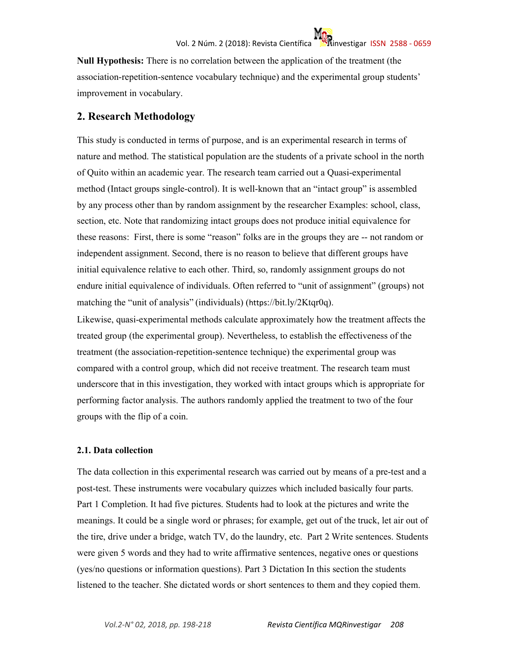**Null Hypothesis:** There is no correlation between the application of the treatment (the association-repetition-sentence vocabulary technique) and the experimental group students' improvement in vocabulary.

# **2. Research Methodology**

This study is conducted in terms of purpose, and is an experimental research in terms of nature and method. The statistical population are the students of a private school in the north of Quito within an academic year. The research team carried out a Quasi-experimental method (Intact groups single-control). It is well-known that an "intact group" is assembled by any process other than by random assignment by the researcher Examples: school, class, section, etc. Note that randomizing intact groups does not produce initial equivalence for these reasons: First, there is some "reason" folks are in the groups they are -- not random or independent assignment. Second, there is no reason to believe that different groups have initial equivalence relative to each other. Third, so, randomly assignment groups do not endure initial equivalence of individuals. Often referred to "unit of assignment" (groups) not matching the "unit of analysis" (individuals) (https://bit.ly/2Ktqr0q).

Likewise, quasi-experimental methods calculate approximately how the treatment affects the treated group (the experimental group). Nevertheless, to establish the effectiveness of the treatment (the association-repetition-sentence technique) the experimental group was compared with a control group, which did not receive treatment. The research team must underscore that in this investigation, they worked with intact groups which is appropriate for performing factor analysis. The authors randomly applied the treatment to two of the four groups with the flip of a coin.

# **2.1. Data collection**

The data collection in this experimental research was carried out by means of a pre-test and a post-test. These instruments were vocabulary quizzes which included basically four parts. Part 1 Completion. It had five pictures. Students had to look at the pictures and write the meanings. It could be a single word or phrases; for example, get out of the truck, let air out of the tire, drive under a bridge, watch TV, do the laundry, etc. Part 2 Write sentences. Students were given 5 words and they had to write affirmative sentences, negative ones or questions (yes/no questions or information questions). Part 3 Dictation In this section the students listened to the teacher. She dictated words or short sentences to them and they copied them.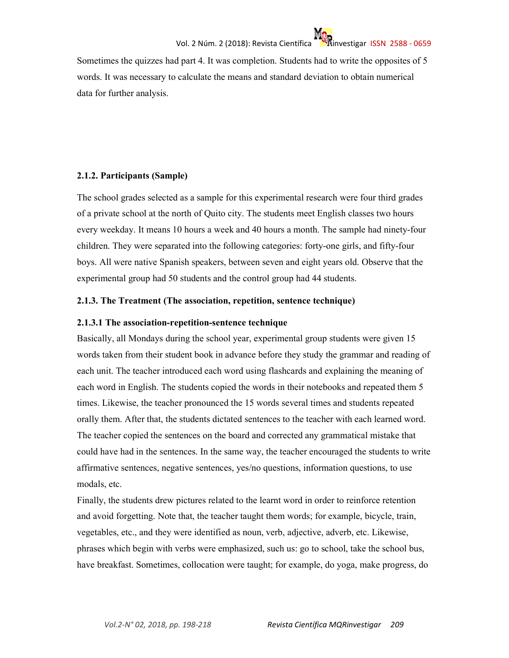Sometimes the quizzes had part 4. It was completion. Students had to write the opposites of 5 words. It was necessary to calculate the means and standard deviation to obtain numerical data for further analysis.

# **2.1.2. Participants (Sample)**

The school grades selected as a sample for this experimental research were four third grades of a private school at the north of Quito city. The students meet English classes two hours every weekday. It means 10 hours a week and 40 hours a month. The sample had ninety-four children. They were separated into the following categories: forty-one girls, and fifty-four boys. All were native Spanish speakers, between seven and eight years old. Observe that the experimental group had 50 students and the control group had 44 students.

# **2.1.3. The Treatment (The association, repetition, sentence technique)**

# **2.1.3.1 The association-repetition-sentence technique**

Basically, all Mondays during the school year, experimental group students were given 15 words taken from their student book in advance before they study the grammar and reading of each unit. The teacher introduced each word using flashcards and explaining the meaning of each word in English. The students copied the words in their notebooks and repeated them 5 times. Likewise, the teacher pronounced the 15 words several times and students repeated orally them. After that, the students dictated sentences to the teacher with each learned word. The teacher copied the sentences on the board and corrected any grammatical mistake that could have had in the sentences. In the same way, the teacher encouraged the students to write affirmative sentences, negative sentences, yes/no questions, information questions, to use modals, etc.

Finally, the students drew pictures related to the learnt word in order to reinforce retention and avoid forgetting. Note that, the teacher taught them words; for example, bicycle, train, vegetables, etc., and they were identified as noun, verb, adjective, adverb, etc. Likewise, phrases which begin with verbs were emphasized, such us: go to school, take the school bus, have breakfast. Sometimes, collocation were taught; for example, do yoga, make progress, do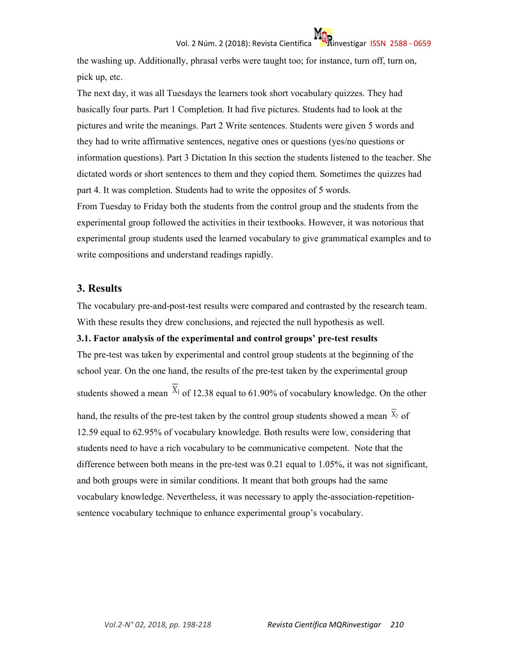the washing up. Additionally, phrasal verbs were taught too; for instance, turn off, turn on, pick up, etc.

The next day, it was all Tuesdays the learners took short vocabulary quizzes. They had basically four parts. Part 1 Completion. It had five pictures. Students had to look at the pictures and write the meanings. Part 2 Write sentences. Students were given 5 words and they had to write affirmative sentences, negative ones or questions (yes/no questions or information questions). Part 3 Dictation In this section the students listened to the teacher. She dictated words or short sentences to them and they copied them. Sometimes the quizzes had part 4. It was completion. Students had to write the opposites of 5 words. From Tuesday to Friday both the students from the control group and the students from the experimental group followed the activities in their textbooks. However, it was notorious that experimental group students used the learned vocabulary to give grammatical examples and to write compositions and understand readings rapidly.

# **3. Results**

The vocabulary pre-and-post-test results were compared and contrasted by the research team. With these results they drew conclusions, and rejected the null hypothesis as well.

# **3.1. Factor analysis of the experimental and control groups' pre-test results**

The pre-test was taken by experimental and control group students at the beginning of the school year. On the one hand, the results of the pre-test taken by the experimental group students showed a mean  $\overline{X}_1$  of 12.38 equal to 61.90% of vocabulary knowledge. On the other

hand, the results of the pre-test taken by the control group students showed a mean  $\overline{X}_2$  of 12.59 equal to 62.95% of vocabulary knowledge. Both results were low, considering that students need to have a rich vocabulary to be communicative competent. Note that the difference between both means in the pre-test was 0.21 equal to 1.05%, it was not significant, and both groups were in similar conditions. It meant that both groups had the same vocabulary knowledge. Nevertheless, it was necessary to apply the-association-repetitionsentence vocabulary technique to enhance experimental group's vocabulary.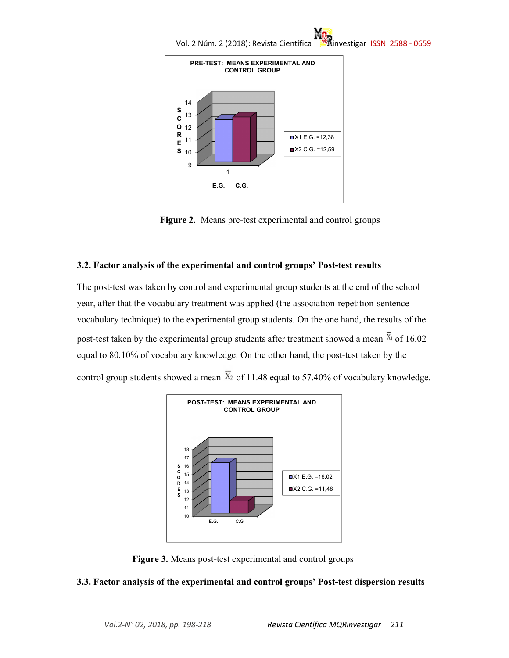



**Figure 2.** Means pre-test experimental and control groups

# **3.2. Factor analysis of the experimental and control groups' Post-test results**

The post-test was taken by control and experimental group students at the end of the school year, after that the vocabulary treatment was applied (the association-repetition-sentence vocabulary technique) to the experimental group students. On the one hand, the results of the post-test taken by the experimental group students after treatment showed a mean  $\bar{x}_1$  of 16.02 equal to 80.10% of vocabulary knowledge. On the other hand, the post-test taken by the control group students showed a mean  $\overline{X}_2$  of 11.48 equal to 57.40% of vocabulary knowledge.



**Figure 3.** Means post-test experimental and control groups

# **3.3. Factor analysis of the experimental and control groups' Post-test dispersion results**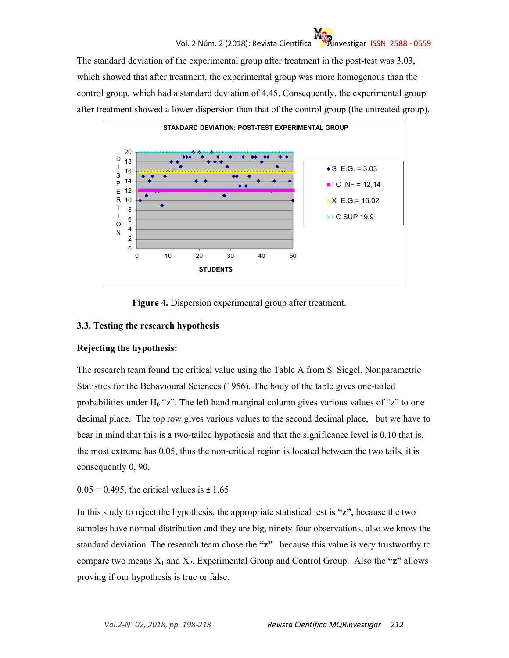# Vol. 2 Núm. 2 (2018): Revista Científica **investigar ISSN 2588 - 0659**

The standard deviation of the experimental group after treatment in the post-test was 3.03, which showed that after treatment, the experimental group was more homogenous than the control group, which had a standard deviation of 4.45. Consequently, the experimental group after treatment showed a lower dispersion than that of the control group (the untreated group).



**Figure 4.** Dispersion experimental group after treatment.

# **3.3. Testing the research hypothesis**

# **Rejecting the hypothesis:**

The research team found the critical value using the Table A from S. Siegel, Nonparametric Statistics for the Behavioural Sciences (1956). The body of the table gives one-tailed probabilities under  $H_0$  "z". The left hand marginal column gives various values of "z" to one decimal place. The top row gives various values to the second decimal place, but we have to bear in mind that this is a two-tailed hypothesis and that the significance level is 0.10 that is, the most extreme has 0.05, thus the non-critical region is located between the two tails, it is consequently 0, 90.

0.05 = 0.495, the critical values is **±** 1.65

In this study to reject the hypothesis, the appropriate statistical test is **"z",** because the two samples have normal distribution and they are big, ninety-four observations, also we know the standard deviation. The research team chose the **"z"** because this value is very trustworthy to compare two means  $X_1$  and  $X_2$ , Experimental Group and Control Group. Also the " $z$ " allows proving if our hypothesis is true or false.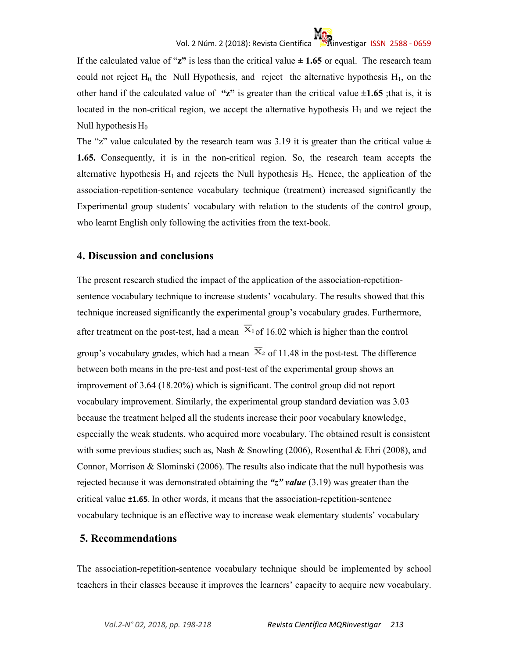If the calculated value of " $z$ " is less than the critical value  $\pm$  1.65 or equal. The research team could not reject  $H_0$ , the Null Hypothesis, and reject the alternative hypothesis  $H_1$ , on the other hand if the calculated value of "z" is greater than the critical value  $\pm 1.65$ ; that is, it is located in the non-critical region, we accept the alternative hypothesis  $H_1$  and we reject the Null hypothesis  $H_0$ 

The "z" value calculated by the research team was 3.19 it is greater than the critical value  $\pm$ **1.65.** Consequently, it is in the non-critical region. So, the research team accepts the alternative hypothesis  $H_1$  and rejects the Null hypothesis  $H_0$ . Hence, the application of the association-repetition-sentence vocabulary technique (treatment) increased significantly the Experimental group students' vocabulary with relation to the students of the control group, who learnt English only following the activities from the text-book.

# **4. Discussion and conclusions**

The present research studied the impact of the application of the association-repetitionsentence vocabulary technique to increase students' vocabulary. The results showed that this technique increased significantly the experimental group's vocabulary grades. Furthermore, after treatment on the post-test, had a mean  $\overline{X}_1$  of 16.02 which is higher than the control group's vocabulary grades, which had a mean  $\overline{X}_2$  of 11.48 in the post-test. The difference between both means in the pre-test and post-test of the experimental group shows an improvement of 3.64 (18.20%) which is significant. The control group did not report vocabulary improvement. Similarly, the experimental group standard deviation was 3.03 because the treatment helped all the students increase their poor vocabulary knowledge, especially the weak students, who acquired more vocabulary. The obtained result is consistent with some previous studies; such as, Nash & Snowling (2006), Rosenthal & Ehri (2008), and Connor, Morrison & Slominski (2006). The results also indicate that the null hypothesis was rejected because it was demonstrated obtaining the *"z" value* (3.19) was greater than the critical value **±1.65**. In other words, it means that the association-repetition-sentence vocabulary technique is an effective way to increase weak elementary students' vocabulary

# **5. Recommendations**

The association-repetition-sentence vocabulary technique should be implemented by school teachers in their classes because it improves the learners' capacity to acquire new vocabulary.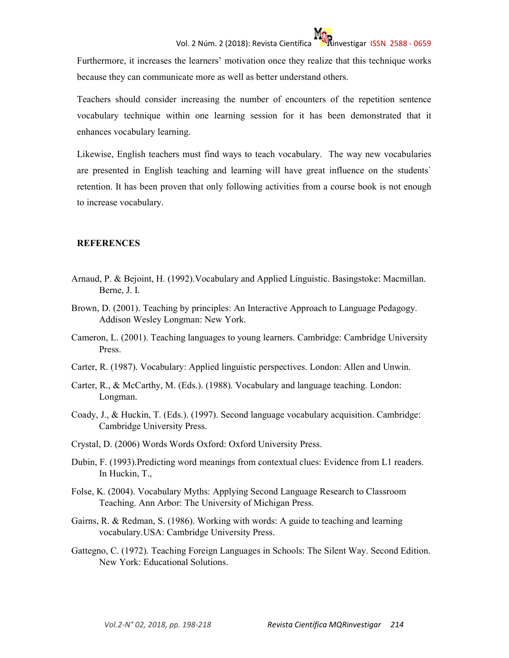Furthermore, it increases the learners' motivation once they realize that this technique works because they can communicate more as well as better understand others.

Teachers should consider increasing the number of encounters of the repetition sentence vocabulary technique within one learning session for it has been demonstrated that it enhances vocabulary learning.

Likewise, English teachers must find ways to teach vocabulary. The way new vocabularies are presented in English teaching and learning will have great influence on the students` retention. It has been proven that only following activities from a course book is not enough to increase vocabulary.

#### **REFERENCES**

- Arnaud, P. & Bejoint, H. (1992).Vocabulary and Applied Linguistic. Basingstoke: Macmillan. Berne, J. I.
- Brown, D. (2001). Teaching by principles: An Interactive Approach to Language Pedagogy. Addison Wesley Longman: New York.
- Cameron, L. (2001). Teaching languages to young learners. Cambridge: Cambridge University Press.
- Carter, R. (1987). Vocabulary: Applied linguistic perspectives. London: Allen and Unwin.
- Carter, R., & McCarthy, M. (Eds.). (1988). Vocabulary and language teaching. London: Longman.
- Coady, J., & Huckin, T. (Eds.). (1997). Second language vocabulary acquisition. Cambridge: Cambridge University Press.
- Crystal, D. (2006) Words Words Oxford: Oxford University Press.
- Dubin, F. (1993).Predicting word meanings from contextual clues: Evidence from L1 readers. In Huckin, T.,
- Folse, K. (2004). Vocabulary Myths: Applying Second Language Research to Classroom Teaching. Ann Arbor: The University of Michigan Press.
- Gairns, R. & Redman, S. (1986). Working with words: A guide to teaching and learning vocabulary.USA: Cambridge University Press.
- Gattegno, C. (1972). Teaching Foreign Languages in Schools: The Silent Way. Second Edition. New York: Educational Solutions.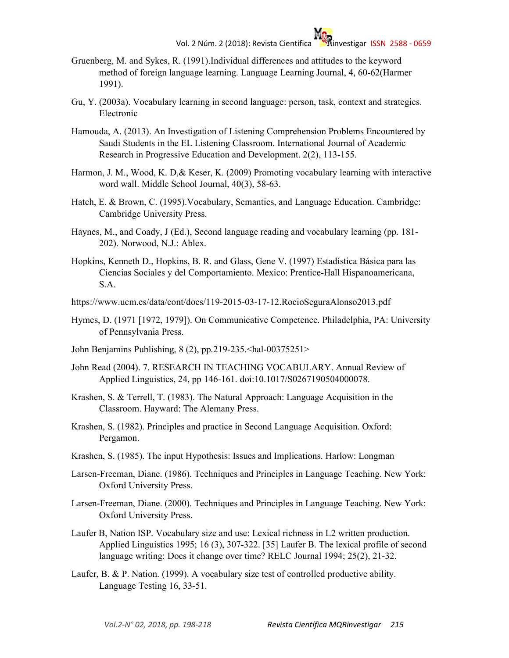- Gruenberg, M. and Sykes, R. (1991).Individual differences and attitudes to the keyword method of foreign language learning. Language Learning Journal, 4, 60-62(Harmer 1991).
- Gu, Y. (2003a). Vocabulary learning in second language: person, task, context and strategies. Electronic
- Hamouda, A. (2013). An Investigation of Listening Comprehension Problems Encountered by Saudi Students in the EL Listening Classroom. International Journal of Academic Research in Progressive Education and Development. 2(2), 113-155.
- Harmon, J. M., Wood, K. D, & Keser, K. (2009) Promoting vocabulary learning with interactive word wall. Middle School Journal, 40(3), 58-63.
- Hatch, E. & Brown, C. (1995).Vocabulary, Semantics, and Language Education. Cambridge: Cambridge University Press.
- Haynes, M., and Coady, J (Ed.), Second language reading and vocabulary learning (pp. 181- 202). Norwood, N.J.: Ablex.
- Hopkins, Kenneth D., Hopkins, B. R. and Glass, Gene V. (1997) Estadística Básica para las Ciencias Sociales y del Comportamiento. Mexico: Prentice-Hall Hispanoamericana, S.A.
- https://www.ucm.es/data/cont/docs/119-2015-03-17-12.RocioSeguraAlonso2013.pdf
- Hymes, D. (1971 [1972, 1979]). On Communicative Competence. Philadelphia, PA: University of Pennsylvania Press.
- John Benjamins Publishing, 8 (2), pp.219-235.<hal-00375251>
- John Read (2004). 7. RESEARCH IN TEACHING VOCABULARY. Annual Review of Applied Linguistics, 24, pp 146-161. doi:10.1017/S0267190504000078.
- Krashen, S. & Terrell, T. (1983). The Natural Approach: Language Acquisition in the Classroom. Hayward: The Alemany Press.
- Krashen, S. (1982). Principles and practice in Second Language Acquisition. Oxford: Pergamon.
- Krashen, S. (1985). The input Hypothesis: Issues and Implications. Harlow: Longman
- Larsen-Freeman, Diane. (1986). Techniques and Principles in Language Teaching. New York: Oxford University Press.
- Larsen-Freeman, Diane. (2000). Techniques and Principles in Language Teaching. New York: Oxford University Press.
- Laufer B, Nation ISP. Vocabulary size and use: Lexical richness in L2 written production. Applied Linguistics 1995; 16 (3), 307-322. [35] Laufer B. The lexical profile of second language writing: Does it change over time? RELC Journal 1994; 25(2), 21-32.
- Laufer, B. & P. Nation. (1999). A vocabulary size test of controlled productive ability. Language Testing 16, 33-51.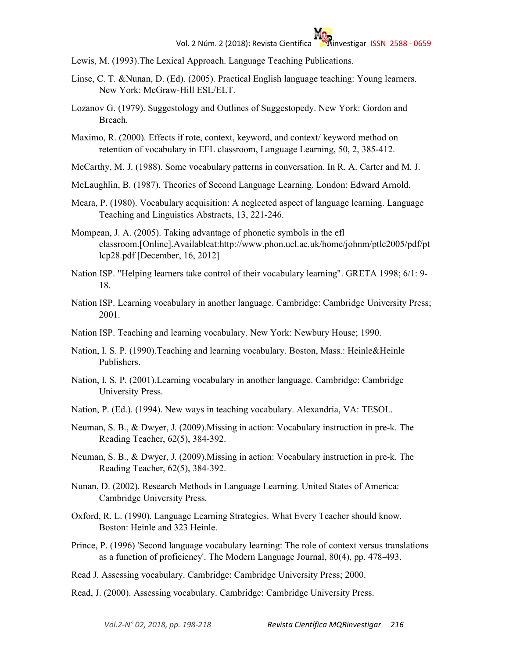- Lewis, M. (1993).The Lexical Approach. Language Teaching Publications.
- Linse, C. T. &Nunan, D. (Ed). (2005). Practical English language teaching: Young learners. New York: McGraw-Hill ESL/ELT.
- Lozanov G. (1979). Suggestology and Outlines of Suggestopedy. New York: Gordon and Breach.
- Maximo, R. (2000). Effects if rote, context, keyword, and context/ keyword method on retention of vocabulary in EFL classroom, Language Learning, 50, 2, 385-412.
- McCarthy, M. J. (1988). Some vocabulary patterns in conversation. In R. A. Carter and M. J.
- McLaughlin, B. (1987). Theories of Second Language Learning. London: Edward Arnold.
- Meara, P. (1980). Vocabulary acquisition: A neglected aspect of language learning. Language Teaching and Linguistics Abstracts, 13, 221-246.
- Mompean, J. A. (2005). Taking advantage of phonetic symbols in the efl classroom.[Online].Availableat:http://www.phon.ucl.ac.uk/home/johnm/ptlc2005/pdf/pt lcp28.pdf [December, 16, 2012]
- Nation ISP. "Helping learners take control of their vocabulary learning". GRETA 1998; 6/1: 9- 18.
- Nation ISP. Learning vocabulary in another language. Cambridge: Cambridge University Press; 2001.
- Nation ISP. Teaching and learning vocabulary. New York: Newbury House; 1990.
- Nation, I. S. P. (1990).Teaching and learning vocabulary. Boston, Mass.: Heinle&Heinle Publishers.
- Nation, I. S. P. (2001).Learning vocabulary in another language. Cambridge: Cambridge University Press.
- Nation, P. (Ed.). (1994). New ways in teaching vocabulary. Alexandria, VA: TESOL.
- Neuman, S. B., & Dwyer, J. (2009).Missing in action: Vocabulary instruction in pre-k. The Reading Teacher, 62(5), 384-392.
- Neuman, S. B., & Dwyer, J. (2009).Missing in action: Vocabulary instruction in pre-k. The Reading Teacher, 62(5), 384-392.
- Nunan, D. (2002). Research Methods in Language Learning. United States of America: Cambridge University Press.
- Oxford, R. L. (1990). Language Learning Strategies. What Every Teacher should know. Boston: Heinle and 323 Heinle.
- Prince, P. (1996) 'Second language vocabulary learning: The role of context versus translations as a function of proficiency'. The Modern Language Journal, 80(4), pp. 478-493.
- Read J. Assessing vocabulary. Cambridge: Cambridge University Press; 2000.
- Read, J. (2000). Assessing vocabulary. Cambridge: Cambridge University Press.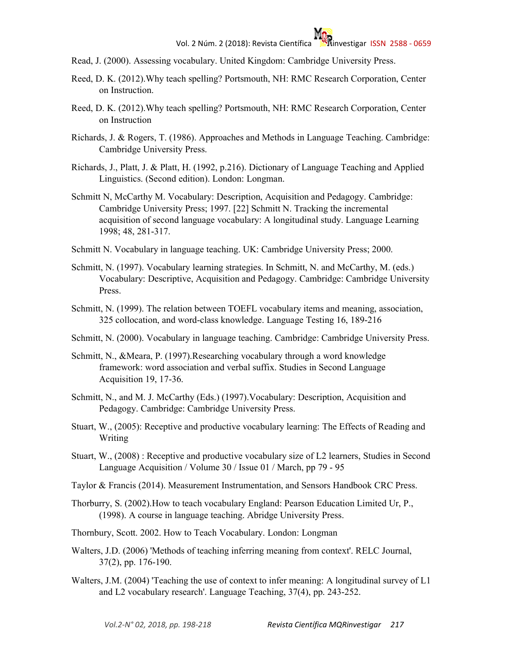- Read, J. (2000). Assessing vocabulary. United Kingdom: Cambridge University Press.
- Reed, D. K. (2012).Why teach spelling? Portsmouth, NH: RMC Research Corporation, Center on Instruction.
- Reed, D. K. (2012).Why teach spelling? Portsmouth, NH: RMC Research Corporation, Center on Instruction
- Richards, J. & Rogers, T. (1986). Approaches and Methods in Language Teaching. Cambridge: Cambridge University Press.
- Richards, J., Platt, J. & Platt, H. (1992, p.216). Dictionary of Language Teaching and Applied Linguistics. (Second edition). London: Longman.
- Schmitt N, McCarthy M. Vocabulary: Description, Acquisition and Pedagogy. Cambridge: Cambridge University Press; 1997. [22] Schmitt N. Tracking the incremental acquisition of second language vocabulary: A longitudinal study. Language Learning 1998; 48, 281-317.
- Schmitt N. Vocabulary in language teaching. UK: Cambridge University Press; 2000.
- Schmitt, N. (1997). Vocabulary learning strategies. In Schmitt, N. and McCarthy, M. (eds.) Vocabulary: Descriptive, Acquisition and Pedagogy. Cambridge: Cambridge University Press.
- Schmitt, N. (1999). The relation between TOEFL vocabulary items and meaning, association, 325 collocation, and word-class knowledge. Language Testing 16, 189-216
- Schmitt, N. (2000). Vocabulary in language teaching. Cambridge: Cambridge University Press.
- Schmitt, N., &Meara, P. (1997).Researching vocabulary through a word knowledge framework: word association and verbal suffix. Studies in Second Language Acquisition 19, 17-36.
- Schmitt, N., and M. J. McCarthy (Eds.) (1997).Vocabulary: Description, Acquisition and Pedagogy. Cambridge: Cambridge University Press.
- Stuart, W., (2005): Receptive and productive vocabulary learning: The Effects of Reading and Writing
- Stuart, W., (2008) : Receptive and productive vocabulary size of L2 learners, Studies in Second Language Acquisition / Volume 30 / Issue 01 / March, pp 79 - 95
- Taylor & Francis (2014). Measurement Instrumentation, and Sensors Handbook CRC Press.
- Thorburry, S. (2002).How to teach vocabulary England: Pearson Education Limited Ur, P., (1998). A course in language teaching. Abridge University Press.
- Thornbury, Scott. 2002. How to Teach Vocabulary. London: Longman
- Walters, J.D. (2006) 'Methods of teaching inferring meaning from context'. RELC Journal, 37(2), pp. 176-190.
- Walters, J.M. (2004) 'Teaching the use of context to infer meaning: A longitudinal survey of L1 and L2 vocabulary research'. Language Teaching, 37(4), pp. 243-252.